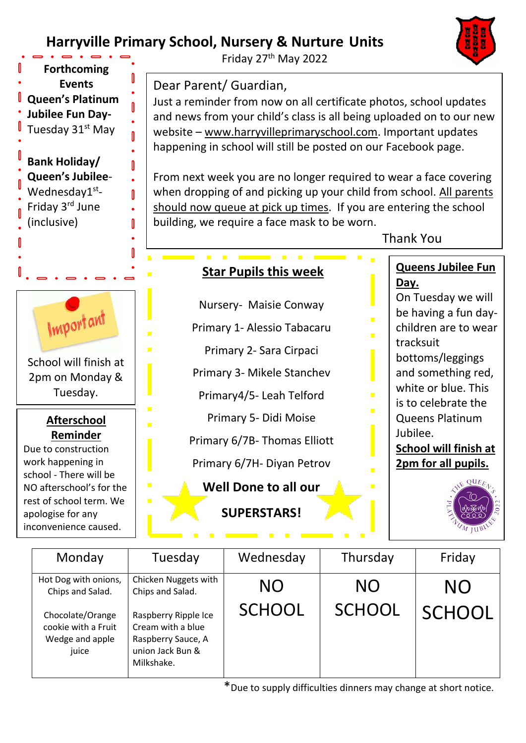## **Harryville Primary School, Nursery & Nurture Units**



| Monday                                                              | Tuesday                                                                                           | Wednesday                  | Thursday                   | Friday    |
|---------------------------------------------------------------------|---------------------------------------------------------------------------------------------------|----------------------------|----------------------------|-----------|
| Hot Dog with onions,<br>Chips and Salad.                            | Chicken Nuggets with<br>Chips and Salad.                                                          | <b>NO</b><br><b>SCHOOL</b> | <b>NO</b><br><b>SCHOOL</b> | <b>NO</b> |
| Chocolate/Orange<br>cookie with a Fruit<br>Wedge and apple<br>juice | Raspberry Ripple Ice<br>Cream with a blue<br>Raspberry Sauce, A<br>union Jack Bun &<br>Milkshake. |                            |                            | SCHOOL    |

\*Due to supply difficulties dinners may change at short notice.